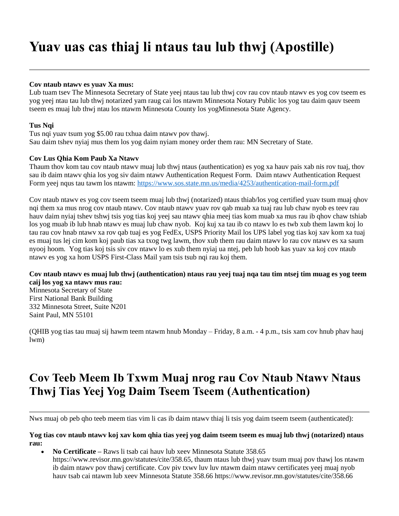# **Yuav uas cas thiaj li ntaus tau lub thwj (Apostille)**

## **Cov ntaub ntawv es yuav Xa mus:**

Lub tuam tsev The Minnesota Secretary of State yeej ntaus tau lub thwj cov rau cov ntaub ntawv es yog cov tseem es yog yeej ntau tau lub thwj notarized yam raug cai los ntawm Minnesota Notary Public los yog tau daim qauv tseem tseem es muaj lub thwj ntau los ntawm Minnesota County los yogMinnesota State Agency.

## **Tus Nqi**

Tus nqi yuav tsum yog \$5.00 rau txhua daim ntawv pov thawj. Sau daim tshev nyiaj mus them los yog daim nyiam money order them rau: MN Secretary of State.

## **Cov Lus Qhia Kom Paub Xa Ntawv**

Thaum thov kom tau cov ntaub ntawv muaj lub thwj ntaus (authentication) es yog xa hauv pais xab nis rov tuaj, thov sau ib daim ntawv qhia los yog siv daim ntawv Authentication Request Form. Daim ntawv Authentication Request Form yeej nqus tau tawm los ntawm:<https://www.sos.state.mn.us/media/4253/authentication-mail-form.pdf>

Cov ntaub ntawv es yog cov tseem tseem muaj lub thwj (notarized) ntaus thiab/los yog certified yuav tsum muaj qhov nqi them xa mus nrog cov ntaub ntawv. Cov ntaub ntawv yuav rov qab muab xa tuaj rau lub chaw nyob es teev rau hauv daim nyiaj tshev tshwj tsis yog tias koj yeej sau ntawv qhia meej tias kom muab xa mus rau ib qhov chaw tshiab los yog muab ib lub hnab ntawv es muaj lub chaw nyob. Koj kuj xa tau ib co ntawv lo es twb xub them lawm koj lo tau rau cov hnab ntawv xa rov qab tuaj es yog FedEx, USPS Priority Mail los UPS label yog tias koj xav kom xa tuaj es muaj tus lej cim kom koj paub tias xa txog twg lawm, thov xub them rau daim ntawv lo rau cov ntawv es xa saum nyooj hoom. Yog tias koj tsis siv cov ntawv lo es xub them nyiaj ua ntej, peb lub hoob kas yuav xa koj cov ntaub ntawv es yog xa hom USPS First-Class Mail yam tsis tsub nqi rau koj them.

# **Cov ntaub ntawv es muaj lub thwj (authentication) ntaus rau yeej tuaj nqa tau tim ntsej tim muag es yog teem caij los yog xa ntawv mus rau:**

Minnesota Secretary of State First National Bank Building 332 Minnesota Street, Suite N201 Saint Paul, MN 55101

(QHIB yog tias tau muaj sij hawm teem ntawm hnub Monday – Friday, 8 a.m. - 4 p.m., tsis xam cov hnub phav hauj lwm)

# **Cov Teeb Meem Ib Txwm Muaj nrog rau Cov Ntaub Ntawv Ntaus Thwj Tias Yeej Yog Daim Tseem Tseem (Authentication)**

Nws muaj ob peb qho teeb meem tias vim li cas ib daim ntawy thiaj li tsis yog daim tseem tseem (authenticated):

**Yog tias cov ntaub ntawv koj xav kom qhia tias yeej yog daim tseem tseem es muaj lub thwj (notarized) ntaus rau:**

 **No Certificate –** Raws li tsab cai hauv lub xeev Minnesota Statute 358.65 <https://www.revisor.mn.gov/statutes/cite/358.65>, thaum ntaus lub thwj yuav tsum muaj pov thawj los ntawm ib daim ntawv pov thawj certificate. Cov piv txwv luv luv ntawm daim ntawv certificates yeej muaj nyob hauv tsab cai ntawm lub xeev Minnesota Statute 358.66<https://www.revisor.mn.gov/statutes/cite/358.66>